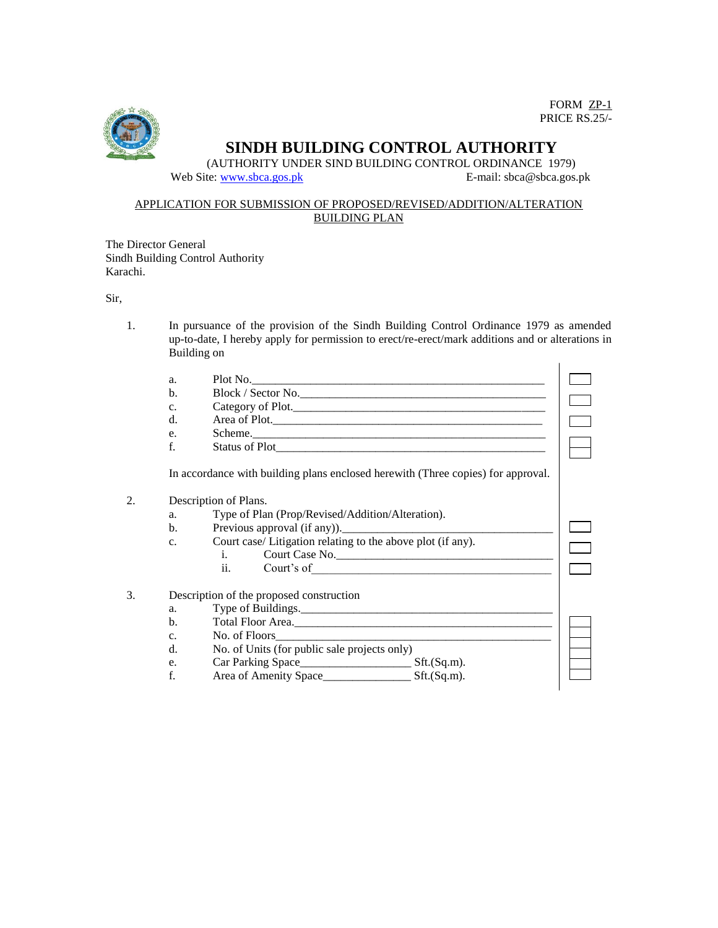

FORM ZP-1 PRICE RS.25/-

# **SINDH BUILDING CONTROL AUTHORITY**

(AUTHORITY UNDER SIND BUILDING CONTROL ORDINANCE 1979) Web Site[: www.sbca.gos.pk](http://www.sbca.gos.pk/) <br>
E-mail: sbca@sbca.gos.pk

#### APPLICATION FOR SUBMISSION OF PROPOSED/REVISED/ADDITION/ALTERATION BUILDING PLAN

The Director General Sindh Building Control Authority Karachi.

Sir,

1. In pursuance of the provision of the Sindh Building Control Ordinance 1979 as amended up-to-date, I hereby apply for permission to erect/re-erect/mark additions and or alterations in Building on

|    | a.                    | Plot No.                                                                         |  |  |
|----|-----------------------|----------------------------------------------------------------------------------|--|--|
|    | $\mathbf{b}$ .        | Block / Sector No.                                                               |  |  |
|    | C <sub>1</sub>        | Category of Plot.                                                                |  |  |
|    | $d_{\cdot}$           | Area of Plot.                                                                    |  |  |
|    | e.                    | Scheme.                                                                          |  |  |
|    | f.                    |                                                                                  |  |  |
|    |                       | In accordance with building plans enclosed herewith (Three copies) for approval. |  |  |
| 2. | Description of Plans. |                                                                                  |  |  |
|    | a.                    | Type of Plan (Prop/Revised/Addition/Alteration).                                 |  |  |
|    | $\mathbf{b}$ .        |                                                                                  |  |  |
|    | C <sub>1</sub>        | Court case/ Litigation relating to the above plot (if any).                      |  |  |
|    |                       | $i.$ $\sim$<br>Court Case No.                                                    |  |  |
|    |                       |                                                                                  |  |  |
| 3. |                       | Description of the proposed construction                                         |  |  |
|    | a.                    | Type of Buildings.                                                               |  |  |
|    | $\mathbf{b}$ .        |                                                                                  |  |  |
|    | C <sub>1</sub>        | No. of Floors                                                                    |  |  |
|    | d.                    | No. of Units (for public sale projects only)                                     |  |  |
|    | e.                    |                                                                                  |  |  |
|    | f.                    |                                                                                  |  |  |
|    |                       |                                                                                  |  |  |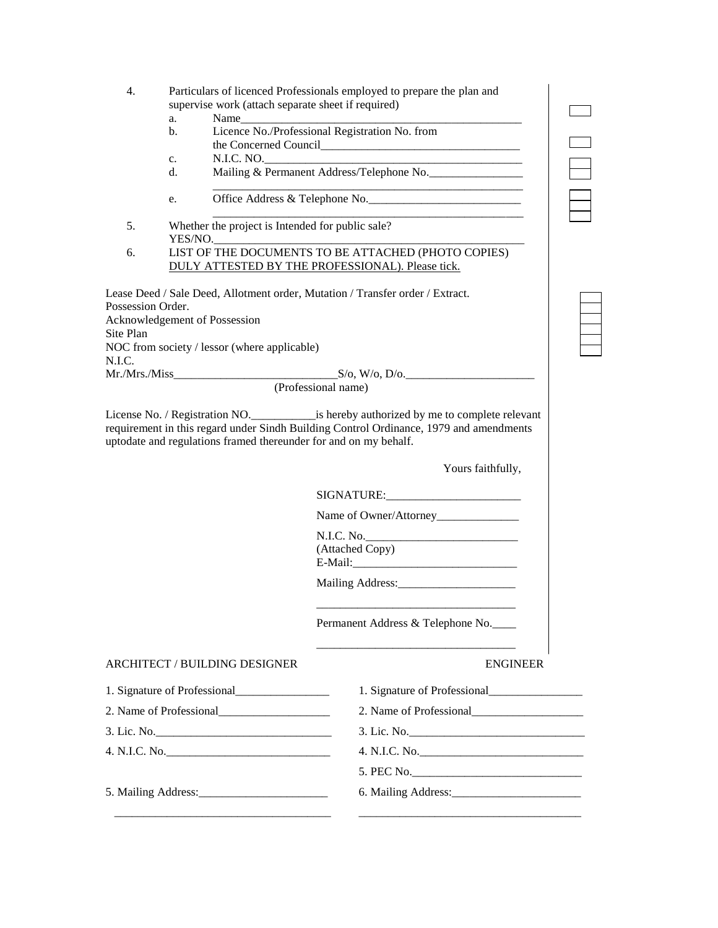| Particulars of licenced Professionals employed to prepare the plan and |
|------------------------------------------------------------------------|
| supervise work (attach separate sheet if required)                     |

| ÷<br>a.<br>-<br>. | -- |  |  |
|-------------------|----|--|--|

b. Licence No./Professional Registration No. from the Concerned Council

\_\_\_\_\_\_\_\_\_\_\_\_\_\_\_\_\_\_\_\_\_\_\_\_\_\_\_\_\_\_\_\_\_\_\_\_\_\_\_\_\_\_\_\_\_\_\_\_\_\_\_\_\_

\_\_\_\_\_\_\_\_\_\_\_\_\_\_\_\_\_\_\_\_\_\_\_\_\_\_\_\_\_\_\_\_\_\_\_\_\_\_\_\_\_\_\_\_\_\_\_\_\_\_\_\_\_

- c. N.I.C. NO.
- d. Mailing & Permanent Address/Telephone No.
- e. Office Address & Telephone No.
- 5. Whether the project is Intended for public sale? YES/NO. 6. LIST OF THE DOCUMENTS TO BE ATTACHED (PHOTO COPIES)

DULY ATTESTED BY THE PROFESSIONAL). Please tick.

Lease Deed / Sale Deed, Allotment order, Mutation / Transfer order / Extract. Possession Order. Acknowledgement of Possession Site Plan NOC from society / lessor (where applicable) N.I.C.  $Mr.Mrs.Miss$   $S/O, W/O, D/O.$ (Professional name)

License No. / Registration NO.\_\_\_\_\_\_\_\_\_\_\_is hereby authorized by me to complete relevant requirement in this regard under Sindh Building Control Ordinance, 1979 and amendments uptodate and regulations framed thereunder for and on my behalf.

Yours faithfully,

SIGNATURE:

Name of Owner/Attorney\_\_\_\_\_\_\_\_\_\_\_\_\_\_

N.I.C. No. (Attached Copy) E-Mail:\_\_\_\_\_\_\_\_\_\_\_\_\_\_\_\_\_\_\_\_\_\_\_\_\_\_\_\_

Mailing Address:\_\_\_\_\_\_\_\_\_\_\_\_\_\_\_\_\_\_\_\_

Permanent Address & Telephone No.\_\_\_\_

\_\_\_\_\_\_\_\_\_\_\_\_\_\_\_\_\_\_\_\_\_\_\_\_\_\_\_\_\_\_\_\_\_\_

\_\_\_\_\_\_\_\_\_\_\_\_\_\_\_\_\_\_\_\_\_\_\_\_\_\_\_\_\_\_\_\_\_\_

### ARCHITECT / BUILDING DESIGNER ENGINEER

| 1. Signature of Professional               | 1. Signature of Professional                                                                                                                                                                                                   |
|--------------------------------------------|--------------------------------------------------------------------------------------------------------------------------------------------------------------------------------------------------------------------------------|
|                                            |                                                                                                                                                                                                                                |
|                                            |                                                                                                                                                                                                                                |
|                                            | 4. N.I.C. No.                                                                                                                                                                                                                  |
|                                            | 5. PEC No.                                                                                                                                                                                                                     |
| 5. Mailing Address: 1986. Mailing Address: | 6. Mailing Address: 2008. 2010. 2010. 2010. 2010. 2010. 2010. 2010. 2010. 2010. 2010. 2010. 2010. 2010. 2010. 2010. 2010. 2010. 2010. 2010. 2010. 2010. 2010. 2010. 2010. 2010. 2010. 2010. 2010. 2010. 2010. 2010. 2010. 2010 |
|                                            |                                                                                                                                                                                                                                |